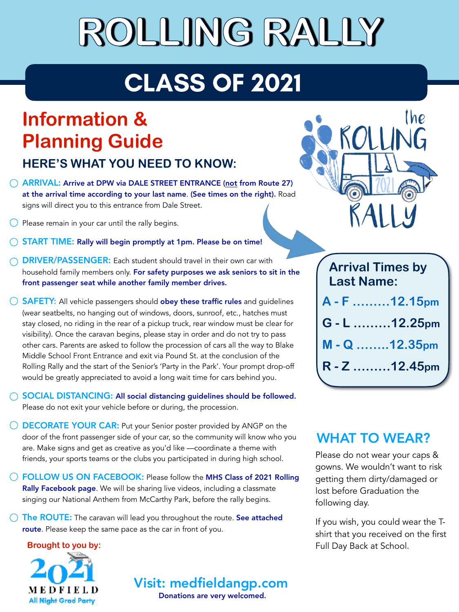## **ROLLING RALLY**

## **CLASS OF 2021**

### **Information & Planning Guide**

**HERE'S WHAT YOU NEED TO KNOW:**

- ARRIVAL: Arrive at DPW via DALE STREET ENTRANCE (not from Route 27) at the arrival time according to your last name. (See times on the right). Road signs will direct you to this entrance from Dale Street.
- $\bigcirc$  Please remain in your car until the rally begins.
- START TIME: Rally will begin promptly at 1pm. Please be on time!
- DRIVER/PASSENGER: Each student should travel in their own car with household family members only. For safety purposes we ask seniors to sit in the front passenger seat while another family member drives.
- $\bigcirc$  **SAFETY:** All vehicle passengers should **obey these traffic rules** and guidelines (wear seatbelts, no hanging out of windows, doors, sunroof, etc., hatches must stay closed, no riding in the rear of a pickup truck, rear window must be clear for visibility). Once the caravan begins, please stay in order and do not try to pass other cars. Parents are asked to follow the procession of cars all the way to Blake Middle School Front Entrance and exit via Pound St. at the conclusion of the Rolling Rally and the start of the Senior's 'Party in the Park'. Your prompt drop-off would be greatly appreciated to avoid a long wait time for cars behind you.
- SOCIAL DISTANCING: All social distancing guidelines should be followed. Please do not exit your vehicle before or during, the procession.
- $\bigcirc$  **DECORATE YOUR CAR:** Put your Senior poster provided by ANGP on the door of the front passenger side of your car, so the community will know who you are. Make signs and get as creative as you'd like —coordinate a theme with friends, your sports teams or the clubs you participated in during high school.
- FOLLOW US ON FACEBOOK: Please follow the MHS Class of 2021 Rolling Rally Facebook page. We will be sharing live videos, including a classmate singing our National Anthem from McCarthy Park, before the rally begins.
- $\bigcirc$  The ROUTE: The caravan will lead you throughout the route. See attached route. Please keep the same pace as the car in front of you.

**Brought to you by:**



Visit: medfield[angp.com](http://angp.com)

Donations are very welcomed.



| <b>Arrival Times by</b><br><b>Last Name:</b> |               |
|----------------------------------------------|---------------|
|                                              | A - F 12.15pm |
|                                              | G - L 12.25pm |
|                                              | M - Q 12.35pm |
|                                              | R - Z 12.45pm |
|                                              |               |

#### WHAT TO WEAR?

Please do not wear your caps & gowns. We wouldn't want to risk getting them dirty/damaged or lost before Graduation the following day.

If you wish, you could wear the Tshirt that you received on the first Full Day Back at School.